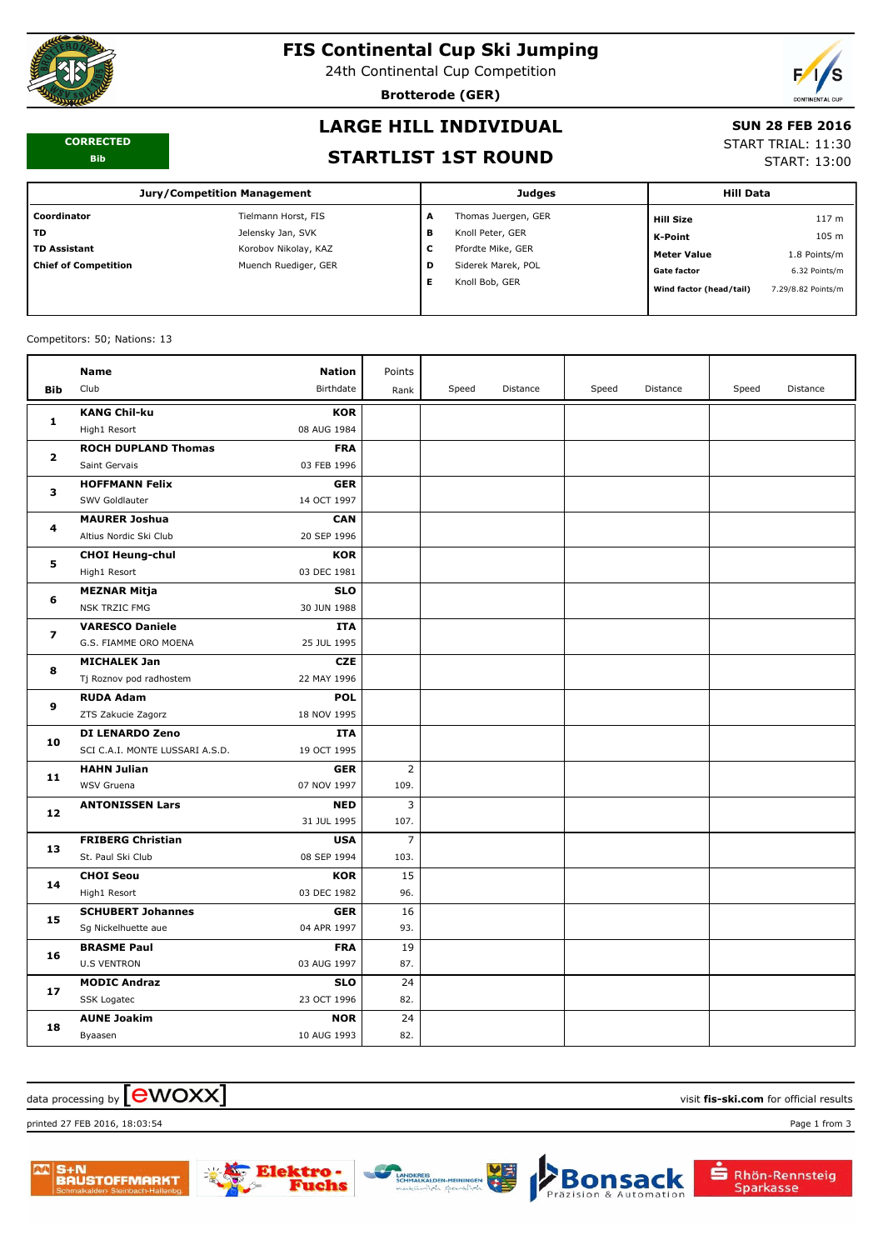

# **FIS Continental Cup Ski Jumping**

24th Continental Cup Competition

**Brotterode (GER)**



#### **CORRECTED Bib**

# **LARGE HILL INDIVIDUAL**

#### **SUN 28 FEB 2016**

#### **STARTLIST 1ST ROUND**

START TRIAL: 11:30

START: 13:00

| <b>Jury/Competition Management</b> |                      |   | <b>Judges</b>       | <b>Hill Data</b>        |                    |
|------------------------------------|----------------------|---|---------------------|-------------------------|--------------------|
| Coordinator                        | Tielmann Horst, FIS  | A | Thomas Juergen, GER | <b>Hill Size</b>        | 117 <sub>m</sub>   |
| TD.                                | Jelensky Jan, SVK    | в | Knoll Peter, GER    | K-Point                 | 105 m              |
| <b>TD Assistant</b>                | Korobov Nikolay, KAZ | ◡ | Pfordte Mike, GER   | <b>Meter Value</b>      | 1.8 Points/m       |
| <b>Chief of Competition</b>        | Muench Ruediger, GER | D | Siderek Marek, POL  | <b>Gate factor</b>      | 6.32 Points/m      |
|                                    |                      |   | Knoll Bob, GER      | Wind factor (head/tail) | 7.29/8.82 Points/m |

#### Competitors: 50; Nations: 13

|                | <b>Name</b>                     | <b>Nation</b> | Points         |       |          |       |          |       |          |
|----------------|---------------------------------|---------------|----------------|-------|----------|-------|----------|-------|----------|
| <b>Bib</b>     | Club                            | Birthdate     | Rank           | Speed | Distance | Speed | Distance | Speed | Distance |
| 1              | <b>KANG Chil-ku</b>             | <b>KOR</b>    |                |       |          |       |          |       |          |
|                | High1 Resort                    | 08 AUG 1984   |                |       |          |       |          |       |          |
| $\mathbf{2}$   | <b>ROCH DUPLAND Thomas</b>      | <b>FRA</b>    |                |       |          |       |          |       |          |
|                | Saint Gervais                   | 03 FEB 1996   |                |       |          |       |          |       |          |
| 3              | <b>HOFFMANN Felix</b>           | <b>GER</b>    |                |       |          |       |          |       |          |
|                | SWV Goldlauter                  | 14 OCT 1997   |                |       |          |       |          |       |          |
| 4              | <b>MAURER Joshua</b>            | <b>CAN</b>    |                |       |          |       |          |       |          |
|                | Altius Nordic Ski Club          | 20 SEP 1996   |                |       |          |       |          |       |          |
| 5              | <b>CHOI Heung-chul</b>          | <b>KOR</b>    |                |       |          |       |          |       |          |
|                | High1 Resort                    | 03 DEC 1981   |                |       |          |       |          |       |          |
| 6              | <b>MEZNAR Mitja</b>             | <b>SLO</b>    |                |       |          |       |          |       |          |
|                | <b>NSK TRZIC FMG</b>            | 30 JUN 1988   |                |       |          |       |          |       |          |
| $\overline{ }$ | <b>VARESCO Daniele</b>          | <b>ITA</b>    |                |       |          |       |          |       |          |
|                | G.S. FIAMME ORO MOENA           | 25 JUL 1995   |                |       |          |       |          |       |          |
| 8              | <b>MICHALEK Jan</b>             | <b>CZE</b>    |                |       |          |       |          |       |          |
|                | Tj Roznov pod radhostem         | 22 MAY 1996   |                |       |          |       |          |       |          |
| 9              | <b>RUDA Adam</b>                | <b>POL</b>    |                |       |          |       |          |       |          |
|                | ZTS Zakucie Zagorz              | 18 NOV 1995   |                |       |          |       |          |       |          |
| 10             | <b>DI LENARDO Zeno</b>          | <b>ITA</b>    |                |       |          |       |          |       |          |
|                | SCI C.A.I. MONTE LUSSARI A.S.D. | 19 OCT 1995   |                |       |          |       |          |       |          |
| 11             | <b>HAHN Julian</b>              | <b>GER</b>    | $\overline{2}$ |       |          |       |          |       |          |
|                | WSV Gruena                      | 07 NOV 1997   | 109.           |       |          |       |          |       |          |
| 12             | <b>ANTONISSEN Lars</b>          | <b>NED</b>    | 3              |       |          |       |          |       |          |
|                |                                 | 31 JUL 1995   | 107.           |       |          |       |          |       |          |
| 13             | <b>FRIBERG Christian</b>        | <b>USA</b>    | $\overline{7}$ |       |          |       |          |       |          |
|                | St. Paul Ski Club               | 08 SEP 1994   | 103.           |       |          |       |          |       |          |
| 14             | <b>CHOI Seou</b>                | <b>KOR</b>    | 15             |       |          |       |          |       |          |
|                | High1 Resort                    | 03 DEC 1982   | 96.            |       |          |       |          |       |          |
| 15             | <b>SCHUBERT Johannes</b>        | <b>GER</b>    | 16             |       |          |       |          |       |          |
|                | Sg Nickelhuette aue             | 04 APR 1997   | 93.            |       |          |       |          |       |          |
| 16             | <b>BRASME Paul</b>              | <b>FRA</b>    | 19             |       |          |       |          |       |          |
|                | <b>U.S VENTRON</b>              | 03 AUG 1997   | 87.            |       |          |       |          |       |          |
| 17             | <b>MODIC Andraz</b>             | <b>SLO</b>    | 24             |       |          |       |          |       |          |
|                | SSK Logatec                     | 23 OCT 1996   | 82.            |       |          |       |          |       |          |
| 18             | <b>AUNE Joakim</b>              | <b>NOR</b>    | 24             |       |          |       |          |       |          |
|                | Byaasen                         | 10 AUG 1993   | 82.            |       |          |       |          |       |          |

## $\alpha$  data processing by  $\boxed{\text{ewOX}}$

printed 27 FEB 2016, 18:03:54 Page 1 from 3









Rhön-Rennsteig

Sparkasse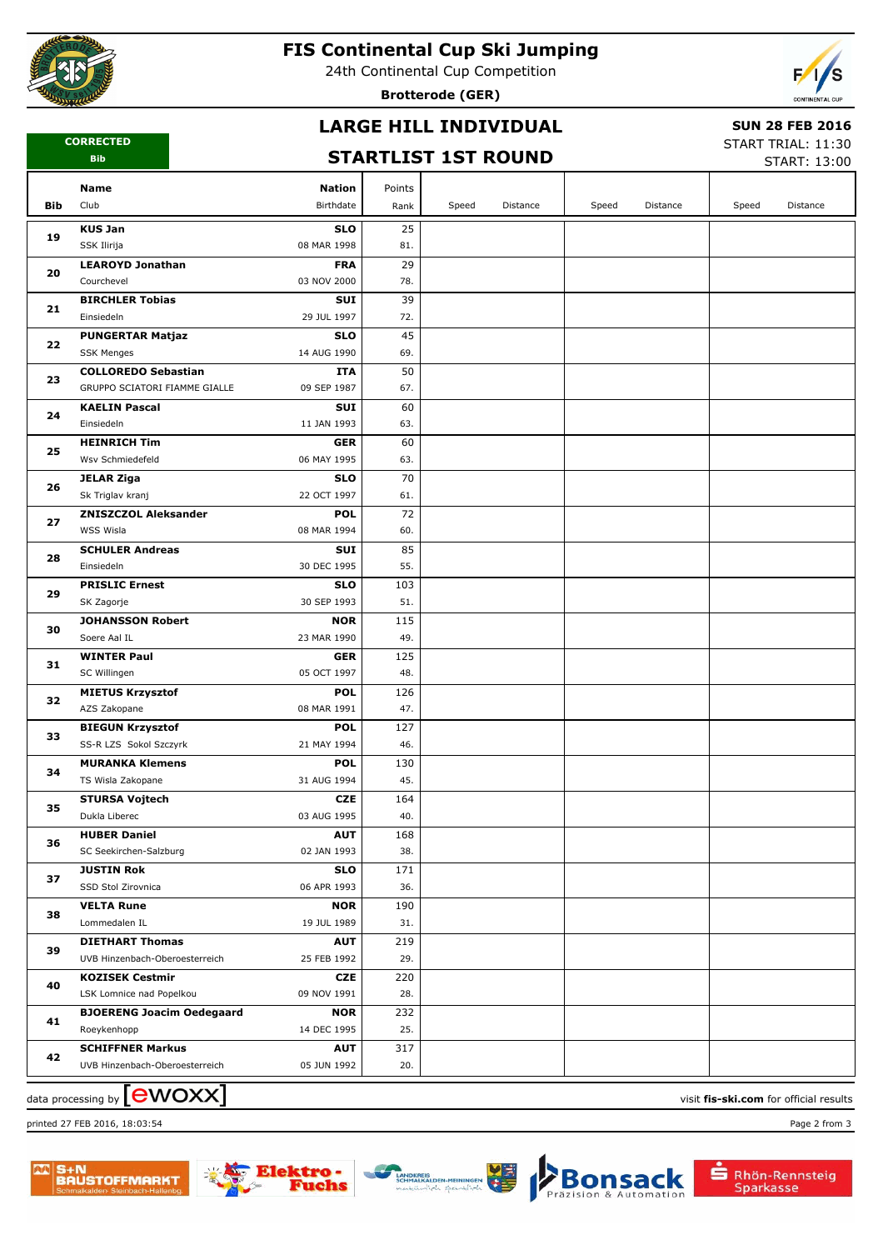

# **FIS Continental Cup Ski Jumping**

24th Continental Cup Competition

**Brotterode (GER)**



## **LARGE HILL INDIVIDUAL**

#### **SUN 28 FEB 2016**

**CORRECTED Bib**

## **STARTLIST 1ST ROUND**

START TRIAL: 11:30  $STAPT: 13:00$ 

|     |                                         |                           |            |       |          |       |          |       | JIANI, 19.00 |
|-----|-----------------------------------------|---------------------------|------------|-------|----------|-------|----------|-------|--------------|
|     | Name                                    | <b>Nation</b>             | Points     |       |          |       |          |       |              |
| Bib | Club                                    | Birthdate                 | Rank       | Speed | Distance | Speed | Distance | Speed | Distance     |
|     | <b>KUS Jan</b>                          | <b>SLO</b>                | 25         |       |          |       |          |       |              |
| 19  | SSK Ilirija                             | 08 MAR 1998               | 81.        |       |          |       |          |       |              |
|     | <b>LEAROYD Jonathan</b>                 | <b>FRA</b>                | 29         |       |          |       |          |       |              |
| 20  | Courchevel                              | 03 NOV 2000               | 78.        |       |          |       |          |       |              |
|     | <b>BIRCHLER Tobias</b>                  | SUI                       | 39         |       |          |       |          |       |              |
| 21  | Einsiedeln                              | 29 JUL 1997               | 72.        |       |          |       |          |       |              |
|     | <b>PUNGERTAR Matjaz</b>                 | <b>SLO</b>                | 45         |       |          |       |          |       |              |
| 22  | <b>SSK Menges</b>                       | 14 AUG 1990               | 69.        |       |          |       |          |       |              |
| 23  | <b>COLLOREDO Sebastian</b>              | <b>ITA</b>                | 50         |       |          |       |          |       |              |
|     | GRUPPO SCIATORI FIAMME GIALLE           | 09 SEP 1987               | 67.        |       |          |       |          |       |              |
| 24  | <b>KAELIN Pascal</b>                    | SUI                       | 60         |       |          |       |          |       |              |
|     | Einsiedeln                              | 11 JAN 1993               | 63.        |       |          |       |          |       |              |
| 25  | <b>HEINRICH Tim</b>                     | <b>GER</b>                | 60         |       |          |       |          |       |              |
|     | Wsv Schmiedefeld                        | 06 MAY 1995               | 63.        |       |          |       |          |       |              |
| 26  | <b>JELAR Ziga</b>                       | <b>SLO</b>                | 70         |       |          |       |          |       |              |
|     | Sk Triglav kranj                        | 22 OCT 1997               | 61.        |       |          |       |          |       |              |
| 27  | <b>ZNISZCZOL Aleksander</b>             | <b>POL</b>                | 72         |       |          |       |          |       |              |
|     | WSS Wisla                               | 08 MAR 1994               | 60.        |       |          |       |          |       |              |
| 28  | <b>SCHULER Andreas</b><br>Einsiedeln    | <b>SUI</b><br>30 DEC 1995 | 85<br>55.  |       |          |       |          |       |              |
|     | <b>PRISLIC Ernest</b>                   | <b>SLO</b>                | 103        |       |          |       |          |       |              |
| 29  | SK Zagorje                              | 30 SEP 1993               | 51.        |       |          |       |          |       |              |
|     | <b>JOHANSSON Robert</b>                 | <b>NOR</b>                | 115        |       |          |       |          |       |              |
| 30  | Soere Aal IL                            | 23 MAR 1990               | 49.        |       |          |       |          |       |              |
|     | <b>WINTER Paul</b>                      | <b>GER</b>                | 125        |       |          |       |          |       |              |
| 31  | SC Willingen                            | 05 OCT 1997               | 48.        |       |          |       |          |       |              |
|     | <b>MIETUS Krzysztof</b>                 | <b>POL</b>                | 126        |       |          |       |          |       |              |
| 32  | AZS Zakopane                            | 08 MAR 1991               | 47.        |       |          |       |          |       |              |
| 33  | <b>BIEGUN Krzysztof</b>                 | <b>POL</b>                | 127        |       |          |       |          |       |              |
|     | SS-R LZS Sokol Szczyrk                  | 21 MAY 1994               | 46.        |       |          |       |          |       |              |
| 34  | <b>MURANKA Klemens</b>                  | <b>POL</b>                | 130        |       |          |       |          |       |              |
|     | TS Wisla Zakopane                       | 31 AUG 1994               | 45.        |       |          |       |          |       |              |
| 35  | <b>STURSA Vojtech</b>                   | <b>CZE</b>                | 164        |       |          |       |          |       |              |
|     | Dukla Liberec                           | 03 AUG 1995               | 40.        |       |          |       |          |       |              |
| 36  | <b>HUBER Daniel</b>                     | <b>AUT</b>                | 168        |       |          |       |          |       |              |
|     | SC Seekirchen-Salzburg                  | 02 JAN 1993               | 38.        |       |          |       |          |       |              |
| 37  | <b>JUSTIN Rok</b><br>SSD Stol Zirovnica | <b>SLO</b><br>06 APR 1993 | 171<br>36. |       |          |       |          |       |              |
|     | <b>VELTA Rune</b>                       | <b>NOR</b>                | 190        |       |          |       |          |       |              |
| 38  | Lommedalen IL                           | 19 JUL 1989               | 31.        |       |          |       |          |       |              |
|     | <b>DIETHART Thomas</b>                  | <b>AUT</b>                | 219        |       |          |       |          |       |              |
| 39  | UVB Hinzenbach-Oberoesterreich          | 25 FEB 1992               | 29.        |       |          |       |          |       |              |
| 40  | <b>KOZISEK Cestmir</b>                  | CZE                       | 220        |       |          |       |          |       |              |
|     | LSK Lomnice nad Popelkou                | 09 NOV 1991               | 28.        |       |          |       |          |       |              |
| 41  | <b>BJOERENG Joacim Oedegaard</b>        | <b>NOR</b>                | 232        |       |          |       |          |       |              |
|     | Roeykenhopp                             | 14 DEC 1995               | 25.        |       |          |       |          |       |              |
| 42  | <b>SCHIFFNER Markus</b>                 | AUT                       | 317        |       |          |       |          |       |              |
|     | UVB Hinzenbach-Oberoesterreich          | 05 JUN 1992               | 20.        |       |          |       |          |       |              |
|     |                                         |                           |            |       |          |       |          |       |              |

data processing by **CWOXX** and  $\overline{C}$  and  $\overline{C}$  and  $\overline{C}$  and  $\overline{C}$  and  $\overline{C}$  and  $\overline{C}$  and  $\overline{C}$  and  $\overline{C}$  and  $\overline{C}$  and  $\overline{C}$  and  $\overline{C}$  and  $\overline{C}$  and  $\overline{C}$  and  $\overline{C}$  and  $\overline{C}$ 

printed 27 FEB 2016, 18:03:54 Page 2 from 3